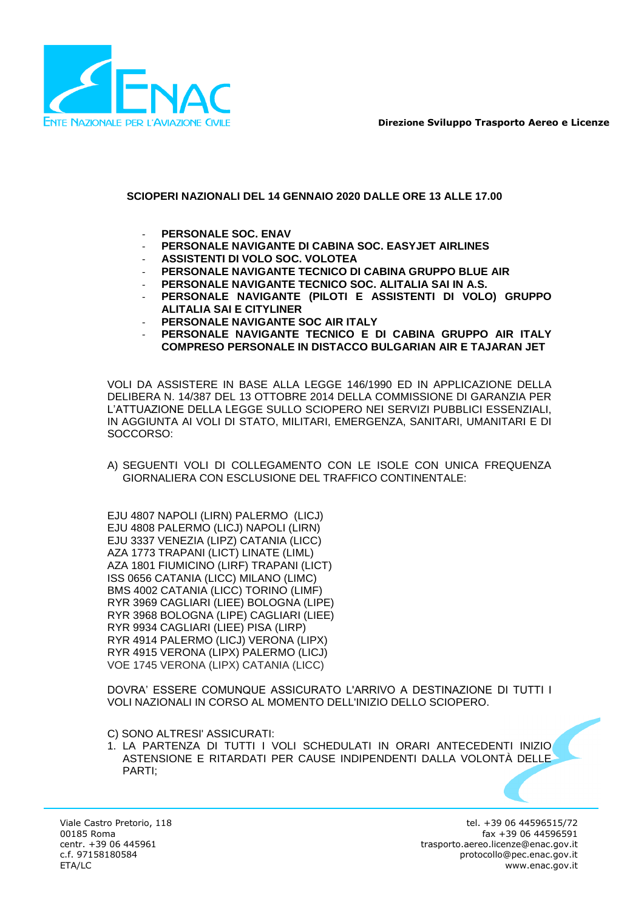

**Direzione Sviluppo Trasporto Aereo e Licenze**

# **SCIOPERI NAZIONALI DEL 14 GENNAIO 2020 DALLE ORE 13 ALLE 17.00**

- **PERSONALE SOC. ENAV**
- **PERSONALE NAVIGANTE DI CABINA SOC. EASYJET AIRLINES**
- **ASSISTENTI DI VOLO SOC. VOLOTEA**
- **PERSONALE NAVIGANTE TECNICO DI CABINA GRUPPO BLUE AIR**
- **PERSONALE NAVIGANTE TECNICO SOC. ALITALIA SAI IN A.S.**
- **PERSONALE NAVIGANTE (PILOTI E ASSISTENTI DI VOLO) GRUPPO ALITALIA SAI E CITYLINER**
- **PERSONALE NAVIGANTE SOC AIR ITALY**
- **PERSONALE NAVIGANTE TECNICO E DI CABINA GRUPPO AIR ITALY COMPRESO PERSONALE IN DISTACCO BULGARIAN AIR E TAJARAN JET**

VOLI DA ASSISTERE IN BASE ALLA LEGGE 146/1990 ED IN APPLICAZIONE DELLA DELIBERA N. 14/387 DEL 13 OTTOBRE 2014 DELLA COMMISSIONE DI GARANZIA PER L'ATTUAZIONE DELLA LEGGE SULLO SCIOPERO NEI SERVIZI PUBBLICI ESSENZIALI, IN AGGIUNTA AI VOLI DI STATO, MILITARI, EMERGENZA, SANITARI, UMANITARI E DI SOCCORSO:

A) SEGUENTI VOLI DI COLLEGAMENTO CON LE ISOLE CON UNICA FREQUENZA GIORNALIERA CON ESCLUSIONE DEL TRAFFICO CONTINENTALE:

EJU 4807 NAPOLI (LIRN) PALERMO (LICJ) EJU 4808 PALERMO (LICJ) NAPOLI (LIRN) EJU 3337 VENEZIA (LIPZ) CATANIA (LICC) AZA 1773 TRAPANI (LICT) LINATE (LIML) AZA 1801 FIUMICINO (LIRF) TRAPANI (LICT) ISS 0656 CATANIA (LICC) MILANO (LIMC) BMS 4002 CATANIA (LICC) TORINO (LIMF) RYR 3969 CAGLIARI (LIEE) BOLOGNA (LIPE) RYR 3968 BOLOGNA (LIPE) CAGLIARI (LIEE) RYR 9934 CAGLIARI (LIEE) PISA (LIRP) RYR 4914 PALERMO (LICJ) VERONA (LIPX) RYR 4915 VERONA (LIPX) PALERMO (LICJ) VOE 1745 VERONA (LIPX) CATANIA (LICC)

DOVRA' ESSERE COMUNQUE ASSICURATO L'ARRIVO A DESTINAZIONE DI TUTTI I VOLI NAZIONALI IN CORSO AL MOMENTO DELL'INIZIO DELLO SCIOPERO.

C) SONO ALTRESI' ASSICURATI:

1. LA PARTENZA DI TUTTI I VOLI SCHEDULATI IN ORARI ANTECEDENTI INIZIO ASTENSIONE E RITARDATI PER CAUSE INDIPENDENTI DALLA VOLONTÀ DELLE PARTI;

Viale Castro Pretorio, 118 00185 Roma centr. +39 06 445961 c.f. 97158180584 ETA/LC

tel. +39 06 44596515/72 fax +39 06 44596591 trasporto.aereo.licenze@enac.gov.it protocollo@pec.enac.gov.it www.enac.gov.it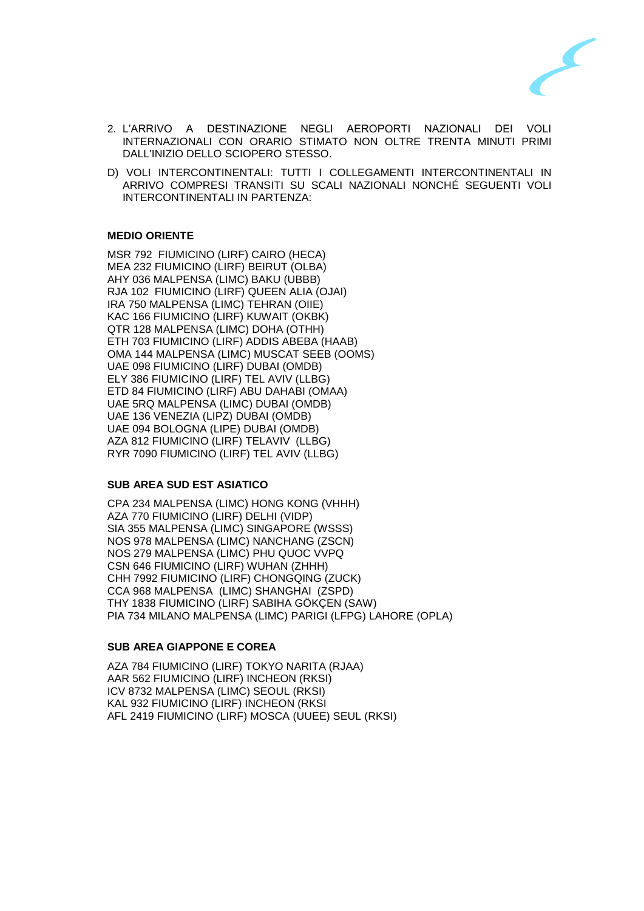

- 2. L'ARRIVO A DESTINAZIONE NEGLI AEROPORTI NAZIONALI DEI VOLI INTERNAZIONALI CON ORARIO STIMATO NON OLTRE TRENTA MINUTI PRIMI DALL'INIZIO DELLO SCIOPERO STESSO.
- D) VOLI INTERCONTINENTALI: TUTTI I COLLEGAMENTI INTERCONTINENTALI IN ARRIVO COMPRESI TRANSITI SU SCALI NAZIONALI NONCHÉ SEGUENTI VOLI INTERCONTINENTALI IN PARTENZA:

# **MEDIO ORIENTE**

MSR 792 FIUMICINO (LIRF) CAIRO (HECA) MEA 232 FIUMICINO (LIRF) BEIRUT (OLBA) AHY 036 MALPENSA (LIMC) BAKU (UBBB) RJA 102 FIUMICINO (LIRF) QUEEN ALIA (OJAI) IRA 750 MALPENSA (LIMC) TEHRAN (OIIE) KAC 166 FIUMICINO (LIRF) KUWAIT (OKBK) QTR 128 MALPENSA (LIMC) DOHA (OTHH) ETH 703 FIUMICINO (LIRF) ADDIS ABEBA (HAAB) OMA 144 MALPENSA (LIMC) MUSCAT SEEB (OOMS) UAE 098 FIUMICINO (LIRF) DUBAI (OMDB) ELY 386 FIUMICINO (LIRF) TEL AVIV (LLBG) ETD 84 FIUMICINO (LIRF) ABU DAHABI (OMAA) UAE 5RQ MALPENSA (LIMC) DUBAI (OMDB) UAE 136 VENEZIA (LIPZ) DUBAI (OMDB) UAE 094 BOLOGNA (LIPE) DUBAI (OMDB) AZA 812 FIUMICINO (LIRF) TELAVIV (LLBG) RYR 7090 FIUMICINO (LIRF) TEL AVIV (LLBG)

### **SUB AREA SUD EST ASIATICO**

CPA 234 MALPENSA (LIMC) HONG KONG (VHHH) AZA 770 FIUMICINO (LIRF) DELHI (VIDP) SIA 355 MALPENSA (LIMC) SINGAPORE (WSSS) NOS 978 MALPENSA (LIMC) NANCHANG (ZSCN) NOS 279 MALPENSA (LIMC) PHU QUOC VVPQ CSN 646 FIUMICINO (LIRF) WUHAN (ZHHH) CHH 7992 FIUMICINO (LIRF) CHONGQING (ZUCK) CCA 968 MALPENSA (LIMC) SHANGHAI (ZSPD) THY 1838 FIUMICINO (LIRF) SABIHA GÖKÇEN (SAW) PIA 734 MILANO MALPENSA (LIMC) PARIGI (LFPG) LAHORE (OPLA)

### **SUB AREA GIAPPONE E COREA**

AZA 784 FIUMICINO (LIRF) TOKYO NARITA (RJAA) AAR 562 FIUMICINO (LIRF) INCHEON (RKSI) ICV 8732 MALPENSA (LIMC) SEOUL (RKSI) KAL 932 FIUMICINO (LIRF) INCHEON (RKSI AFL 2419 FIUMICINO (LIRF) MOSCA (UUEE) SEUL (RKSI)